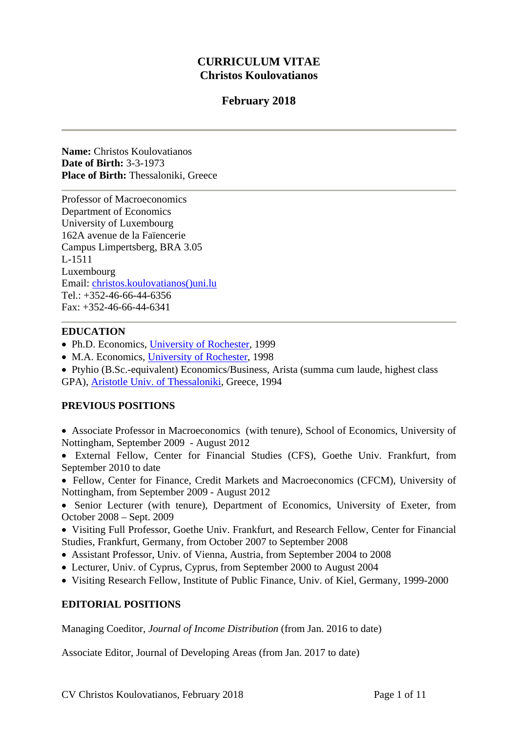# **CURRICULUM VITAE Christos Koulovatianos**

# **February 2018**

**Name:** Christos Koulovatianos **Date of Birth:** 3-3-1973 **Place of Birth:** Thessaloniki, Greece

Professor of Macroeconomics Department of Economics University of Luxembourg 162A avenue de la Faïencerie Campus Limpertsberg, BRA 3.05 L-1511 Luxembourg Email: christos.koulovatianos()uni.lu Tel.: +352-46-66-44-6356 Fax: +352-46-66-44-6341

### **EDUCATION**

- Ph.D. Economics, University of Rochester, 1999
- M.A. Economics, University of Rochester, 1998
- Ptyhio (B.Sc.-equivalent) Economics/Business, Arista (summa cum laude, highest class GPA), Aristotle Univ. of Thessaloniki, Greece, 1994

# **PREVIOUS POSITIONS**

- Associate Professor in Macroeconomics (with tenure), School of Economics, University of Nottingham, September 2009 - August 2012
- External Fellow, Center for Financial Studies (CFS), Goethe Univ. Frankfurt, from September 2010 to date
- Fellow, Center for Finance, Credit Markets and Macroeconomics (CFCM), University of Nottingham, from September 2009 - August 2012
- Senior Lecturer (with tenure), Department of Economics, University of Exeter, from October 2008 – Sept. 2009
- Visiting Full Professor, Goethe Univ. Frankfurt, and Research Fellow, Center for Financial Studies, Frankfurt, Germany, from October 2007 to September 2008
- Assistant Professor, Univ. of Vienna, Austria, from September 2004 to 2008
- Lecturer, Univ. of Cyprus, Cyprus, from September 2000 to August 2004
- Visiting Research Fellow, Institute of Public Finance, Univ. of Kiel, Germany, 1999-2000

# **EDITORIAL POSITIONS**

Managing Coeditor, *Journal of Income Distribution* (from Jan. 2016 to date)

Associate Editor, Journal of Developing Areas (from Jan. 2017 to date)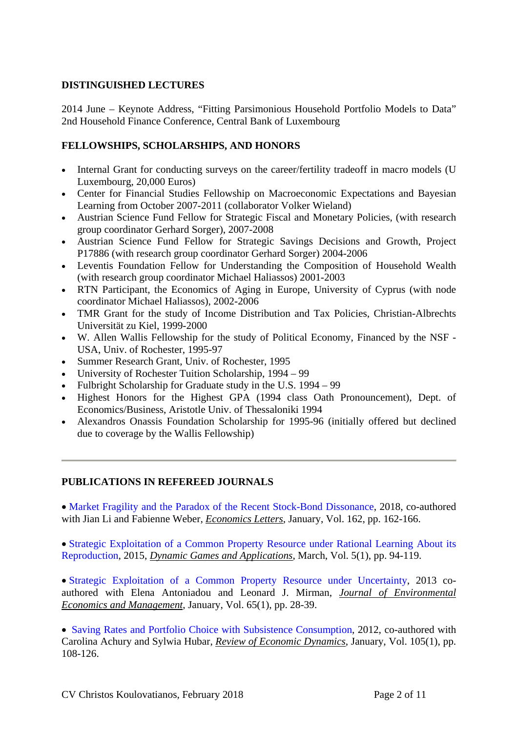# **DISTINGUISHED LECTURES**

2014 June – Keynote Address, "Fitting Parsimonious Household Portfolio Models to Data" 2nd Household Finance Conference, Central Bank of Luxembourg

# **FELLOWSHIPS, SCHOLARSHIPS, AND HONORS**

- Internal Grant for conducting surveys on the career/fertility tradeoff in macro models (U Luxembourg, 20,000 Euros)
- Center for Financial Studies Fellowship on Macroeconomic Expectations and Bayesian Learning from October 2007-2011 (collaborator Volker Wieland)
- Austrian Science Fund Fellow for Strategic Fiscal and Monetary Policies, (with research group coordinator Gerhard Sorger), 2007-2008
- Austrian Science Fund Fellow for Strategic Savings Decisions and Growth, Project P17886 (with research group coordinator Gerhard Sorger) 2004-2006
- Leventis Foundation Fellow for Understanding the Composition of Household Wealth (with research group coordinator Michael Haliassos) 2001-2003
- RTN Participant, the Economics of Aging in Europe, University of Cyprus (with node coordinator Michael Haliassos), 2002-2006
- TMR Grant for the study of Income Distribution and Tax Policies, Christian-Albrechts Universität zu Kiel, 1999-2000
- W. Allen Wallis Fellowship for the study of Political Economy, Financed by the NSF USA, Univ. of Rochester, 1995-97
- Summer Research Grant, Univ. of Rochester, 1995
- University of Rochester Tuition Scholarship, 1994 99
- Fulbright Scholarship for Graduate study in the U.S. 1994 99
- Highest Honors for the Highest GPA (1994 class Oath Pronouncement), Dept. of Economics/Business, Aristotle Univ. of Thessaloniki 1994
- Alexandros Onassis Foundation Scholarship for 1995-96 (initially offered but declined due to coverage by the Wallis Fellowship)

### **PUBLICATIONS IN REFEREED JOURNALS**

• Market Fragility and the Paradox of the Recent Stock-Bond Dissonance, 2018, co-authored with Jian Li and Fabienne Weber, *Economics Letters*, January, Vol. 162, pp. 162-166.

• Strategic Exploitation of a Common Property Resource under Rational Learning About its Reproduction, 2015, *Dynamic Games and Applications*, March, Vol. 5(1), pp. 94-119.

 Strategic Exploitation of a Common Property Resource under Uncertainty, 2013 coauthored with Elena Antoniadou and Leonard J. Mirman, *Journal of Environmental Economics and Management*, January, Vol. 65(1), pp. 28-39.

• Saving Rates and Portfolio Choice with Subsistence Consumption, 2012, co-authored with Carolina Achury and Sylwia Hubar, *Review of Economic Dynamics*, January, Vol. 105(1), pp. 108-126.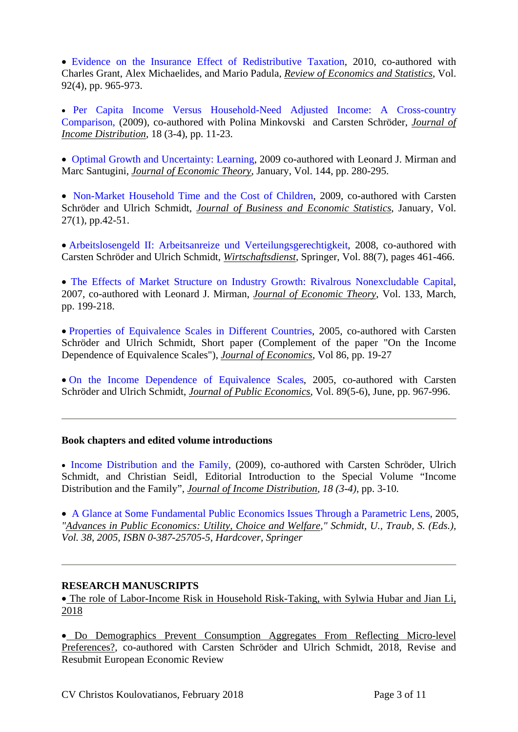Evidence on the Insurance Effect of Redistributive Taxation, 2010, co-authored with Charles Grant, Alex Michaelides, and Mario Padula, *Review of Economics and Statistics*, Vol. 92(4), pp. 965-973.

 Per Capita Income Versus Household-Need Adjusted Income: A Cross-country Comparison, (2009), co-authored with Polina Minkovski and Carsten Schröder, *Journal of Income Distribution,* 18 (3-4), pp. 11-23.

• Optimal Growth and Uncertainty: Learning, 2009 co-authored with Leonard J. Mirman and Marc Santugini, *Journal of Economic Theory*, January, Vol. 144, pp. 280-295.

• Non-Market Household Time and the Cost of Children, 2009, co-authored with Carsten Schröder and Ulrich Schmidt, *Journal of Business and Economic Statistics*, January, Vol. 27(1), pp.42-51.

 Arbeitslosengeld II: Arbeitsanreize und Verteilungsgerechtigkeit, 2008, co-authored with Carsten Schröder and Ulrich Schmidt, *Wirtschaftsdienst*, Springer, Vol. 88(7), pages 461-466.

 The Effects of Market Structure on Industry Growth: Rivalrous Nonexcludable Capital, 2007, co-authored with Leonard J. Mirman, *Journal of Economic Theory*, Vol. 133, March, pp. 199-218.

 Properties of Equivalence Scales in Different Countries, 2005, co-authored with Carsten Schröder and Ulrich Schmidt, Short paper (Complement of the paper "On the Income Dependence of Equivalence Scales"), *Journal of Economics*, Vol 86, pp. 19-27

 On the Income Dependence of Equivalence Scales, 2005, co-authored with Carsten Schröder and Ulrich Schmidt, *Journal of Public Economics*, Vol. 89(5-6), June, pp. 967-996.

### **Book chapters and edited volume introductions**

• Income Distribution and the Family, (2009), co-authored with Carsten Schröder, Ulrich Schmidt, and Christian Seidl, Editorial Introduction to the Special Volume "Income Distribution and the Family", *Journal of Income Distribution, 18 (3-4),* pp. 3-10*.*

 A Glance at Some Fundamental Public Economics Issues Through a Parametric Lens, 2005, *"Advances in Public Economics: Utility, Choice and Welfare," Schmidt, U., Traub, S. (Eds.), Vol. 38, 2005, ISBN 0-387-25705-5, Hardcover, Springer*

### **RESEARCH MANUSCRIPTS**

 The role of Labor-Income Risk in Household Risk-Taking, with Sylwia Hubar and Jian Li, 2018

 Do Demographics Prevent Consumption Aggregates From Reflecting Micro-level Preferences?, co-authored with Carsten Schröder and Ulrich Schmidt, 2018, Revise and Resubmit European Economic Review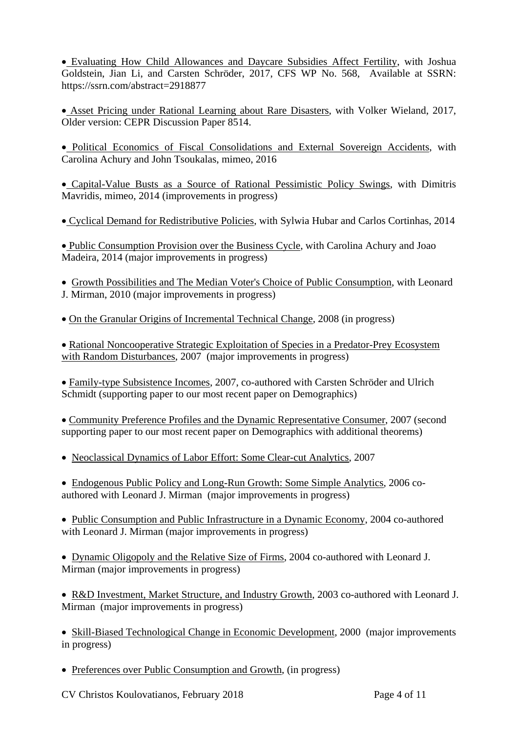Evaluating How Child Allowances and Daycare Subsidies Affect Fertility, with Joshua Goldstein, Jian Li, and Carsten Schröder, 2017, CFS WP No. 568, Available at SSRN: https://ssrn.com/abstract=2918877

 Asset Pricing under Rational Learning about Rare Disasters, with Volker Wieland, 2017, Older version: CEPR Discussion Paper 8514.

 Political Economics of Fiscal Consolidations and External Sovereign Accidents, with Carolina Achury and John Tsoukalas, mimeo, 2016

 Capital-Value Busts as a Source of Rational Pessimistic Policy Swings, with Dimitris Mavridis, mimeo, 2014 (improvements in progress)

Cyclical Demand for Redistributive Policies, with Sylwia Hubar and Carlos Cortinhas, 2014

 Public Consumption Provision over the Business Cycle, with Carolina Achury and Joao Madeira, 2014 (major improvements in progress)

 Growth Possibilities and The Median Voter's Choice of Public Consumption, with Leonard J. Mirman, 2010 (major improvements in progress)

On the Granular Origins of Incremental Technical Change, 2008 (in progress)

• Rational Noncooperative Strategic Exploitation of Species in a Predator-Prey Ecosystem with Random Disturbances, 2007 (major improvements in progress)

Family-type Subsistence Incomes, 2007, co-authored with Carsten Schröder and Ulrich Schmidt (supporting paper to our most recent paper on Demographics)

 Community Preference Profiles and the Dynamic Representative Consumer, 2007 (second supporting paper to our most recent paper on Demographics with additional theorems)

Neoclassical Dynamics of Labor Effort: Some Clear-cut Analytics, 2007

 Endogenous Public Policy and Long-Run Growth: Some Simple Analytics, 2006 coauthored with Leonard J. Mirman (major improvements in progress)

• Public Consumption and Public Infrastructure in a Dynamic Economy, 2004 co-authored with Leonard J. Mirman (major improvements in progress)

 Dynamic Oligopoly and the Relative Size of Firms, 2004 co-authored with Leonard J. Mirman (major improvements in progress)

 R&D Investment, Market Structure, and Industry Growth, 2003 co-authored with Leonard J. Mirman (major improvements in progress)

• Skill-Biased Technological Change in Economic Development, 2000 (major improvements in progress)

• Preferences over Public Consumption and Growth, (in progress)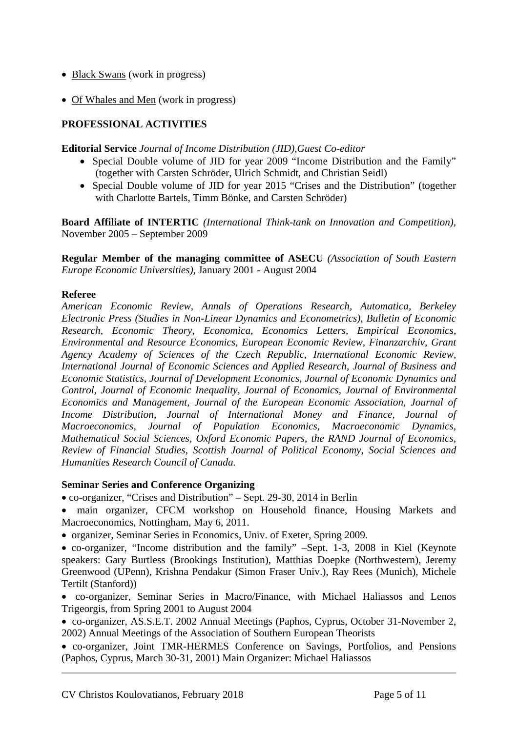- Black Swans (work in progress)
- Of Whales and Men (work in progress)

# **PROFESSIONAL ACTIVITIES**

**Editorial Service** *Journal of Income Distribution (JID),Guest Co-editor* 

- Special Double volume of JID for year 2009 "Income Distribution and the Family" (together with Carsten Schröder, Ulrich Schmidt, and Christian Seidl)
- Special Double volume of JID for year 2015 "Crises and the Distribution" (together with Charlotte Bartels, Timm Bönke, and Carsten Schröder)

**Board Affiliate of INTERTIC** *(International Think-tank on Innovation and Competition),* November 2005 – September 2009

**Regular Member of the managing committee of ASECU** *(Association of South Eastern Europe Economic Universities),* January 2001 - August 2004

### **Referee**

*American Economic Review, Annals of Operations Research, Automatica, Berkeley Electronic Press (Studies in Non-Linear Dynamics and Econometrics), Bulletin of Economic Research, Economic Theory, Economica, Economics Letters, Empirical Economics, Environmental and Resource Economics, European Economic Review, Finanzarchiv, Grant Agency Academy of Sciences of the Czech Republic, International Economic Review, International Journal of Economic Sciences and Applied Research, Journal of Business and Economic Statistics, Journal of Development Economics, Journal of Economic Dynamics and Control, Journal of Economic Inequality, Journal of Economics, Journal of Environmental Economics and Management, Journal of the European Economic Association, Journal of Income Distribution, Journal of International Money and Finance, Journal of Macroeconomics, Journal of Population Economics, Macroeconomic Dynamics, Mathematical Social Sciences, Oxford Economic Papers, the RAND Journal of Economics, Review of Financial Studies, Scottish Journal of Political Economy, Social Sciences and Humanities Research Council of Canada.* 

### **Seminar Series and Conference Organizing**

co-organizer, "Crises and Distribution" – Sept. 29-30, 2014 in Berlin

- main organizer, CFCM workshop on Household finance, Housing Markets and Macroeconomics, Nottingham, May 6, 2011.
- organizer, Seminar Series in Economics, Univ. of Exeter, Spring 2009.
- co-organizer, "Income distribution and the family" –Sept. 1-3, 2008 in Kiel (Keynote speakers: Gary Burtless (Brookings Institution), Matthias Doepke (Northwestern), Jeremy Greenwood (UPenn), Krishna Pendakur (Simon Fraser Univ.), Ray Rees (Munich), Michele Tertilt (Stanford))
- co-organizer, Seminar Series in Macro/Finance, with Michael Haliassos and Lenos Trigeorgis, from Spring 2001 to August 2004
- co-organizer, AS.S.E.T. 2002 Annual Meetings (Paphos, Cyprus, October 31-November 2, 2002) Annual Meetings of the Association of Southern European Theorists

 co-organizer, Joint TMR-HERMES Conference on Savings, Portfolios, and Pensions (Paphos, Cyprus, March 30-31, 2001) Main Organizer: Michael Haliassos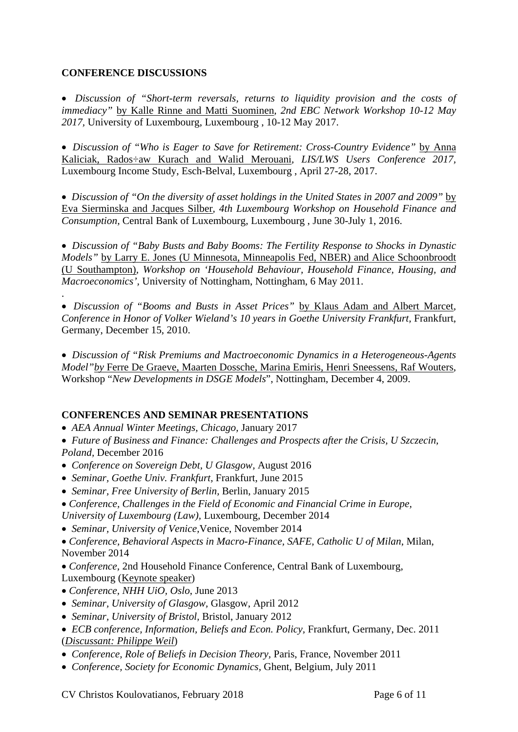# **CONFERENCE DISCUSSIONS**

.

 *Discussion of "Short-term reversals, returns to liquidity provision and the costs of immediacy"* by Kalle Rinne and Matti Suominen*, 2nd EBC Network Workshop 10-12 May 2017,* University of Luxembourg, Luxembourg , 10-12 May 2017.

 *Discussion of "Who is Eager to Save for Retirement: Cross-Country Evidence"* by Anna Kaliciak, Rados÷aw Kurach and Walid Merouani*, LIS/LWS Users Conference 2017,*  Luxembourg Income Study, Esch-Belval, Luxembourg , April 27-28, 2017.

 *Discussion of "On the diversity of asset holdings in the United States in 2007 and 2009"* by Eva Sierminska and Jacques Silber*, 4th Luxembourg Workshop on Household Finance and Consumption,* Central Bank of Luxembourg, Luxembourg , June 30-July 1, 2016.

 *Discussion of "Baby Busts and Baby Booms: The Fertility Response to Shocks in Dynastic Models"* by Larry E. Jones (U Minnesota, Minneapolis Fed, NBER) and Alice Schoonbroodt (U Southampton)*, Workshop on 'Household Behaviour, Household Finance, Housing, and Macroeconomics',* University of Nottingham, Nottingham, 6 May 2011.

 *Discussion of "Booms and Busts in Asset Prices"* by Klaus Adam and Albert Marcet*, Conference in Honor of Volker Wieland's 10 years in Goethe University Frankfurt,* Frankfurt, Germany, December 15, 2010.

 *Discussion of "Risk Premiums and Mactroeconomic Dynamics in a Heterogeneous-Agents Model"by* Ferre De Graeve, Maarten Dossche, Marina Emiris, Henri Sneessens, Raf Wouters, Workshop "*New Developments in DSGE Models*", Nottingham, December 4, 2009.

# **CONFERENCES AND SEMINAR PRESENTATIONS**

*AEA Annual Winter Meetings, Chicago,* January 2017

 *Future of Business and Finance: Challenges and Prospects after the Crisis, U Szczecin, Poland,* December 2016

- *Conference on Sovereign Debt, U Glasgow,* August 2016
- *Seminar, Goethe Univ. Frankfurt,* Frankfurt, June 2015
- *Seminar, Free University of Berlin,* Berlin, January 2015

*Conference, Challenges in the Field of Economic and Financial Crime in Europe, University of Luxembourg (Law),* Luxembourg, December 2014

*Seminar, University of Venice,*Venice, November 2014

*Conference, Behavioral Aspects in Macro-Finance, SAFE, Catholic U of Milan*, Milan, November 2014

*Conference,* 2nd Household Finance Conference, Central Bank of Luxembourg, Luxembourg (Keynote speaker)

- *Conference, NHH UiO, Oslo*, June 2013
- *Seminar, University of Glasgow,* Glasgow, April 2012
- *Seminar, University of Bristol,* Bristol, January 2012
- *ECB conference, Information, Beliefs and Econ. Policy,* Frankfurt, Germany, Dec. 2011 (*Discussant: Philippe Weil*)
- *Conference, Role of Beliefs in Decision Theory,* Paris, France, November 2011
- *Conference, Society for Economic Dynamics,* Ghent, Belgium, July 2011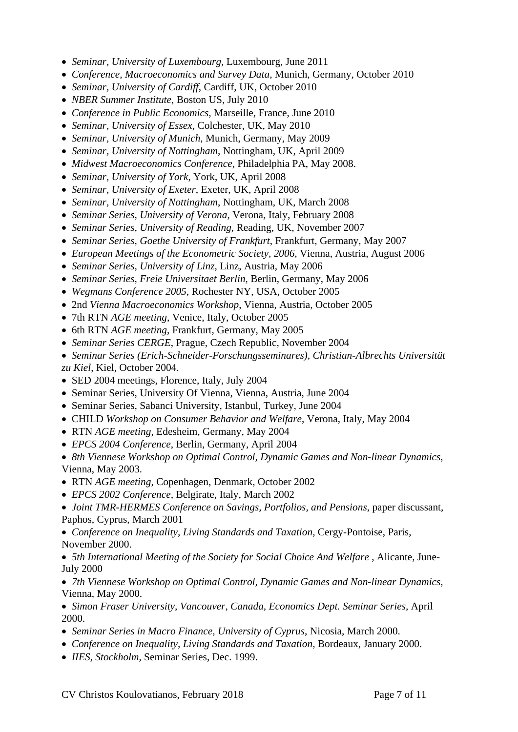- *Seminar, University of Luxembourg,* Luxembourg, June 2011
- *Conference, Macroeconomics and Survey Data,* Munich, Germany, October 2010
- *Seminar, University of Cardiff*, Cardiff, UK, October 2010
- *NBER Summer Institute*, Boston US, July 2010
- *Conference in Public Economics,* Marseille, France, June 2010
- *Seminar, University of Essex*, Colchester, UK, May 2010
- *Seminar, University of Munich*, Munich, Germany, May 2009
- *Seminar, University of Nottingham*, Nottingham, UK, April 2009
- *Midwest Macroeconomics Conference*, Philadelphia PA, May 2008.
- *Seminar, University of York*, York, UK, April 2008
- *Seminar, University of Exeter*, Exeter, UK, April 2008
- *Seminar, University of Nottingham*, Nottingham, UK, March 2008
- *Seminar Series, University of Verona*, Verona, Italy, February 2008
- *Seminar Series, University of Reading*, Reading, UK, November 2007
- *Seminar Series, Goethe University of Frankfurt*, Frankfurt, Germany, May 2007
- *European Meetings of the Econometric Society, 2006*, Vienna, Austria, August 2006
- *Seminar Series, University of Linz*, Linz, Austria, May 2006
- *Seminar Series, Freie Universitaet Berlin*, Berlin, Germany, May 2006
- *Wegmans Conference 2005*, Rochester NY, USA, October 2005
- 2nd *Vienna Macroeconomics Workshop*, Vienna, Austria, October 2005
- 7th RTN *AGE meeting*, Venice, Italy, October 2005
- 6th RTN *AGE meeting*, Frankfurt, Germany, May 2005
- *Seminar Series CERGE*, Prague, Czech Republic, November 2004
- *Seminar Series (Erich-Schneider-Forschungsseminares), Christian-Albrechts Universität zu Kiel*, Kiel, October 2004.
- SED 2004 meetings, Florence, Italy, July 2004
- Seminar Series, University Of Vienna, Vienna, Austria, June 2004
- Seminar Series, Sabanci University, Istanbul, Turkey, June 2004
- CHILD *Workshop on Consumer Behavior and Welfare*, Verona, Italy, May 2004
- RTN *AGE meeting*, Edesheim, Germany, May 2004
- *EPCS 2004 Conference*, Berlin, Germany, April 2004
- *8th Viennese Workshop on Optimal Control, Dynamic Games and Non-linear Dynamics*, Vienna, May 2003.
- RTN *AGE meeting*, Copenhagen, Denmark, October 2002
- *EPCS 2002 Conference*, Belgirate, Italy, March 2002
- *Joint TMR-HERMES Conference on Savings, Portfolios, and Pensions*, paper discussant, Paphos, Cyprus, March 2001
- *Conference on Inequality, Living Standards and Taxation*, Cergy-Pontoise, Paris, November 2000.
- 5th International Meeting of the Society for Social Choice And Welfare, Alicante, June-July 2000
- *7th Viennese Workshop on Optimal Control, Dynamic Games and Non-linear Dynamics*, Vienna, May 2000.
- *Simon Fraser University, Vancouver, Canada, Economics Dept. Seminar Series,* April 2000.
- *Seminar Series in Macro Finance, University of Cyprus*, Nicosia, March 2000.
- *Conference on Inequality, Living Standards and Taxation*, Bordeaux, January 2000.
- *IIES, Stockholm*, Seminar Series, Dec. 1999.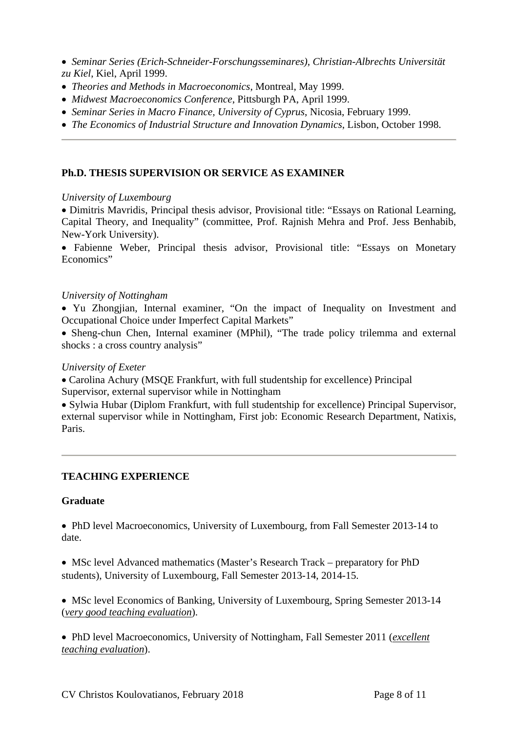- *Seminar Series (Erich-Schneider-Forschungsseminares), Christian-Albrechts Universität zu Kiel*, Kiel, April 1999.
- *Theories and Methods in Macroeconomics*, Montreal, May 1999.
- *Midwest Macroeconomics Conference*, Pittsburgh PA, April 1999.
- *Seminar Series in Macro Finance, University of Cyprus*, Nicosia, February 1999.
- *The Economics of Industrial Structure and Innovation Dynamics*, Lisbon, October 1998.

### **Ph.D. THESIS SUPERVISION OR SERVICE AS EXAMINER**

### *University of Luxembourg*

 Dimitris Mavridis, Principal thesis advisor, Provisional title: "Essays on Rational Learning, Capital Theory, and Inequality" (committee, Prof. Rajnish Mehra and Prof. Jess Benhabib, New-York University).

 Fabienne Weber, Principal thesis advisor, Provisional title: "Essays on Monetary Economics"

### *University of Nottingham*

 Yu Zhongjian, Internal examiner, "On the impact of Inequality on Investment and Occupational Choice under Imperfect Capital Markets"

 Sheng-chun Chen, Internal examiner (MPhil), "The trade policy trilemma and external shocks : a cross country analysis"

#### *University of Exeter*

 Carolina Achury (MSQE Frankfurt, with full studentship for excellence) Principal Supervisor, external supervisor while in Nottingham

 Sylwia Hubar (Diplom Frankfurt, with full studentship for excellence) Principal Supervisor, external supervisor while in Nottingham, First job: Economic Research Department, Natixis, Paris.

### **TEACHING EXPERIENCE**

### **Graduate**

• PhD level Macroeconomics, University of Luxembourg, from Fall Semester 2013-14 to date.

 MSc level Advanced mathematics (Master's Research Track – preparatory for PhD students), University of Luxembourg, Fall Semester 2013-14, 2014-15.

• MSc level Economics of Banking, University of Luxembourg, Spring Semester 2013-14 (*very good teaching evaluation*).

 PhD level Macroeconomics, University of Nottingham, Fall Semester 2011 (*excellent teaching evaluation*).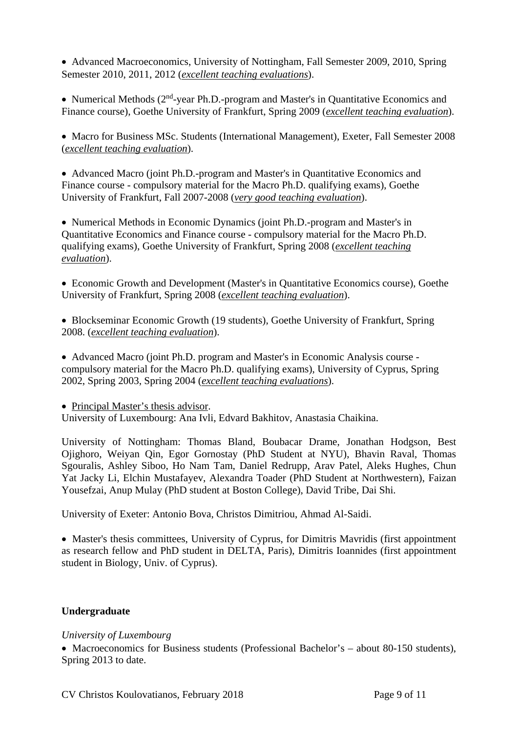Advanced Macroeconomics, University of Nottingham, Fall Semester 2009, 2010, Spring Semester 2010, 2011, 2012 (*excellent teaching evaluations*).

• Numerical Methods (2<sup>nd</sup>-year Ph.D.-program and Master's in Quantitative Economics and Finance course), Goethe University of Frankfurt, Spring 2009 (*excellent teaching evaluation*).

• Macro for Business MSc. Students (International Management), Exeter, Fall Semester 2008 (*excellent teaching evaluation*).

 Advanced Macro (joint Ph.D.-program and Master's in Quantitative Economics and Finance course - compulsory material for the Macro Ph.D. qualifying exams), Goethe University of Frankfurt, Fall 2007-2008 (*very good teaching evaluation*).

 Numerical Methods in Economic Dynamics (joint Ph.D.-program and Master's in Quantitative Economics and Finance course - compulsory material for the Macro Ph.D. qualifying exams), Goethe University of Frankfurt, Spring 2008 (*excellent teaching evaluation*).

 Economic Growth and Development (Master's in Quantitative Economics course), Goethe University of Frankfurt, Spring 2008 (*excellent teaching evaluation*).

 Blockseminar Economic Growth (19 students), Goethe University of Frankfurt, Spring 2008. (*excellent teaching evaluation*).

 Advanced Macro (joint Ph.D. program and Master's in Economic Analysis course compulsory material for the Macro Ph.D. qualifying exams), University of Cyprus, Spring 2002, Spring 2003, Spring 2004 (*excellent teaching evaluations*).

• Principal Master's thesis advisor.

University of Luxembourg: Ana Ivli, Edvard Bakhitov, Anastasia Chaikina.

University of Nottingham: Thomas Bland, Boubacar Drame, Jonathan Hodgson, Best Ojighoro, Weiyan Qin, Egor Gornostay (PhD Student at NYU), Bhavin Raval, Thomas Sgouralis, Ashley Siboo, Ho Nam Tam, Daniel Redrupp, Arav Patel, Aleks Hughes, Chun Yat Jacky Li, Elchin Mustafayev, Alexandra Toader (PhD Student at Northwestern), Faizan Yousefzai, Anup Mulay (PhD student at Boston College), David Tribe, Dai Shi.

University of Exeter: Antonio Bova, Christos Dimitriou, Ahmad Al-Saidi.

• Master's thesis committees, University of Cyprus, for Dimitris Mavridis (first appointment) as research fellow and PhD student in DELTA, Paris), Dimitris Ioannides (first appointment student in Biology, Univ. of Cyprus).

# **Undergraduate**

### *University of Luxembourg*

• Macroeconomics for Business students (Professional Bachelor's – about 80-150 students). Spring 2013 to date.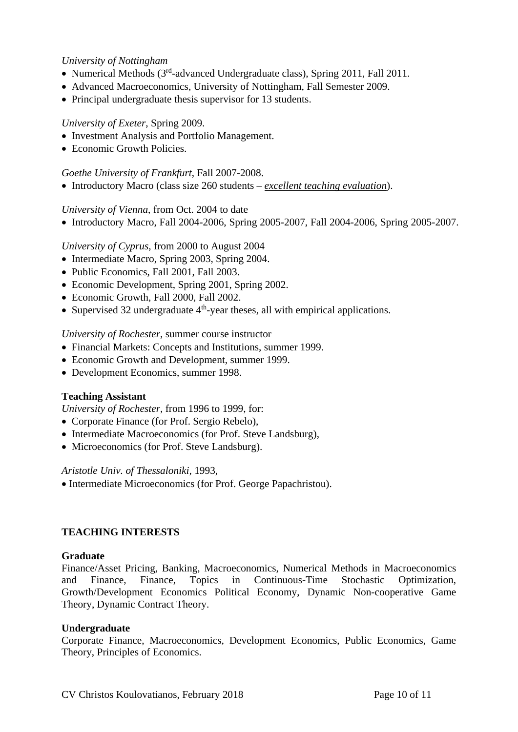### *University of Nottingham*

- Numerical Methods  $(3<sup>rd</sup>-advanced Undergraduate class)$ , Spring 2011, Fall 2011.
- Advanced Macroeconomics, University of Nottingham, Fall Semester 2009.
- Principal undergraduate thesis supervisor for 13 students.

### *University of Exeter*, Spring 2009.

- Investment Analysis and Portfolio Management.
- Economic Growth Policies.

### *Goethe University of Frankfurt*, Fall 2007-2008.

Introductory Macro (class size 260 students – *excellent teaching evaluation*).

### *University of Vienna*, from Oct. 2004 to date

• Introductory Macro, Fall 2004-2006, Spring 2005-2007, Fall 2004-2006, Spring 2005-2007.

### *University of Cyprus*, from 2000 to August 2004

- Intermediate Macro, Spring 2003, Spring 2004.
- Public Economics, Fall 2001, Fall 2003.
- Economic Development, Spring 2001, Spring 2002.
- Economic Growth, Fall 2000, Fall 2002.
- Supervised 32 undergraduate  $4<sup>th</sup>$ -year theses, all with empirical applications.

### *University of Rochester*, summer course instructor

- Financial Markets: Concepts and Institutions, summer 1999.
- Economic Growth and Development, summer 1999.
- Development Economics, summer 1998.

### **Teaching Assistant**

*University of Rochester,* from 1996 to 1999, for:

- Corporate Finance (for Prof. Sergio Rebelo),
- Intermediate Macroeconomics (for Prof. Steve Landsburg),
- Microeconomics (for Prof. Steve Landsburg).

### *Aristotle Univ. of Thessaloniki,* 1993,

• Intermediate Microeconomics (for Prof. George Papachristou).

### **TEACHING INTERESTS**

### **Graduate**

Finance/Asset Pricing, Banking, Macroeconomics, Numerical Methods in Macroeconomics and Finance, Finance, Topics in Continuous-Time Stochastic Optimization, Growth/Development Economics Political Economy, Dynamic Non-cooperative Game Theory, Dynamic Contract Theory.

### **Undergraduate**

Corporate Finance, Macroeconomics, Development Economics, Public Economics, Game Theory, Principles of Economics.